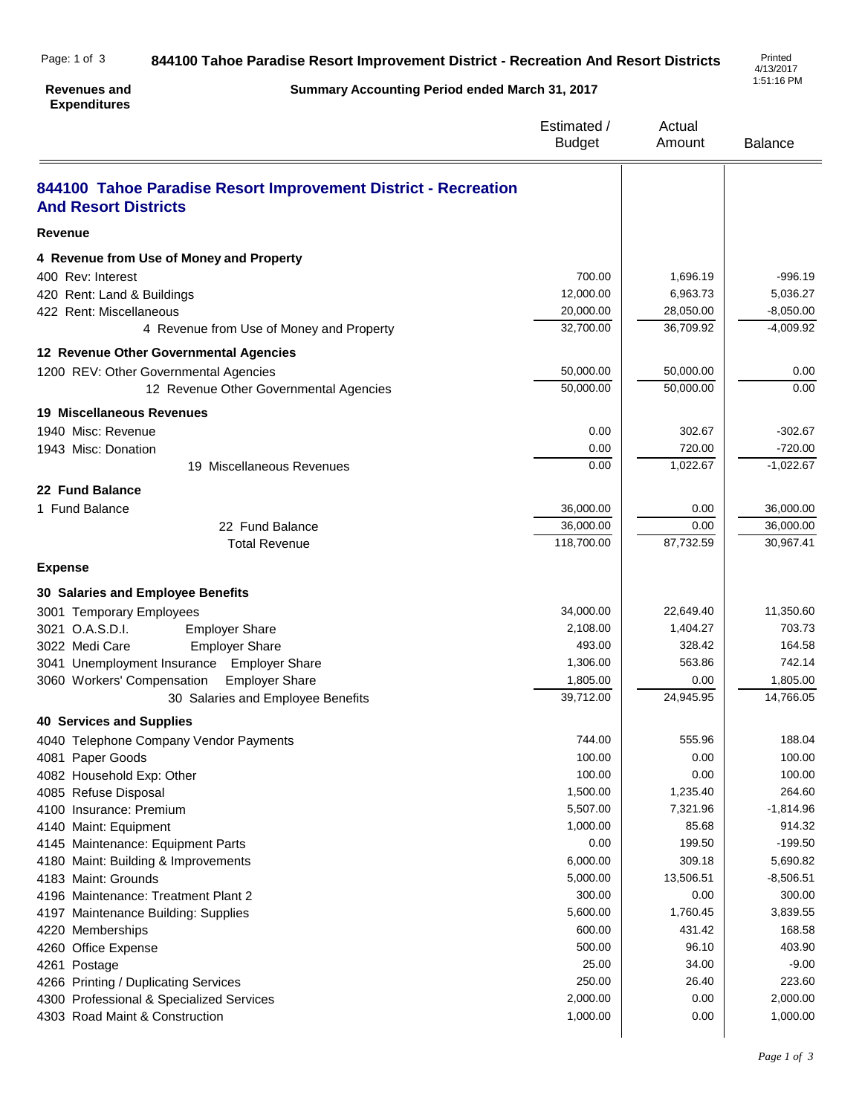## **844100 Tahoe Paradise Resort Improvement District - Recreation And Resort Districts** Page: 1 of 3

## **Revenues and Expenditures**

**Summary Accounting Period ended March 31, 2017**

4/13/2017 1:51:16 PM

|                                                                                               | Estimated /<br><b>Budget</b> | Actual<br>Amount | <b>Balance</b>          |
|-----------------------------------------------------------------------------------------------|------------------------------|------------------|-------------------------|
| 844100 Tahoe Paradise Resort Improvement District - Recreation<br><b>And Resort Districts</b> |                              |                  |                         |
| <b>Revenue</b>                                                                                |                              |                  |                         |
| 4 Revenue from Use of Money and Property                                                      |                              |                  |                         |
| 400 Rev: Interest                                                                             | 700.00                       | 1,696.19         | $-996.19$               |
| 420 Rent: Land & Buildings                                                                    | 12,000.00                    | 6,963.73         | 5,036.27                |
| 422 Rent: Miscellaneous                                                                       | 20,000.00                    | 28,050.00        | $-8,050.00$             |
| 4 Revenue from Use of Money and Property                                                      | 32,700.00                    | 36,709.92        | $-4,009.92$             |
| 12 Revenue Other Governmental Agencies                                                        |                              |                  |                         |
| 1200 REV: Other Governmental Agencies                                                         | 50,000.00                    | 50,000.00        | 0.00                    |
| 12 Revenue Other Governmental Agencies                                                        | 50,000.00                    | 50,000.00        | 0.00                    |
| 19 Miscellaneous Revenues                                                                     |                              |                  |                         |
| 1940 Misc: Revenue                                                                            | 0.00                         | 302.67           | $-302.67$               |
| 1943 Misc: Donation                                                                           | 0.00                         | 720.00           | $-720.00$               |
| 19 Miscellaneous Revenues                                                                     | 0.00                         | 1,022.67         | $-1,022.67$             |
| 22 Fund Balance                                                                               |                              |                  |                         |
| 1 Fund Balance                                                                                | 36,000.00                    | 0.00             | 36,000.00               |
| 22 Fund Balance                                                                               | 36,000.00                    | 0.00             | 36,000.00               |
| <b>Total Revenue</b>                                                                          | 118,700.00                   | 87,732.59        | 30,967.41               |
| <b>Expense</b>                                                                                |                              |                  |                         |
| 30 Salaries and Employee Benefits                                                             |                              |                  |                         |
| 3001 Temporary Employees                                                                      | 34,000.00                    | 22,649.40        | 11,350.60               |
| 3021 O.A.S.D.I.<br><b>Employer Share</b>                                                      | 2,108.00                     | 1,404.27         | 703.73                  |
| 3022 Medi Care<br><b>Employer Share</b>                                                       | 493.00                       | 328.42           | 164.58                  |
| 3041 Unemployment Insurance<br><b>Employer Share</b>                                          | 1,306.00                     | 563.86           | 742.14                  |
| 3060 Workers' Compensation<br><b>Employer Share</b>                                           | 1,805.00                     | 0.00             | 1,805.00                |
| 30 Salaries and Employee Benefits                                                             | 39,712.00                    | 24,945.95        | 14,766.05               |
| <b>40 Services and Supplies</b>                                                               |                              |                  |                         |
| 4040 Telephone Company Vendor Payments                                                        | 744.00                       | 555.96           | 188.04                  |
| 4081 Paper Goods                                                                              | 100.00                       | 0.00             | 100.00                  |
| 4082 Household Exp: Other                                                                     | 100.00                       | 0.00             | 100.00                  |
| 4085 Refuse Disposal                                                                          | 1,500.00                     | 1,235.40         | 264.60                  |
| 4100 Insurance: Premium                                                                       | 5,507.00                     | 7,321.96         | $-1,814.96$             |
| 4140 Maint: Equipment                                                                         | 1,000.00                     | 85.68            | 914.32                  |
| 4145 Maintenance: Equipment Parts                                                             | 0.00<br>6,000.00             | 199.50<br>309.18 | $-199.50$               |
| 4180 Maint: Building & Improvements<br>4183 Maint: Grounds                                    | 5,000.00                     | 13,506.51        | 5,690.82<br>$-8,506.51$ |
| 4196 Maintenance: Treatment Plant 2                                                           | 300.00                       | 0.00             | 300.00                  |
| 4197 Maintenance Building: Supplies                                                           | 5,600.00                     | 1,760.45         | 3,839.55                |
| 4220 Memberships                                                                              | 600.00                       | 431.42           | 168.58                  |
| 4260 Office Expense                                                                           | 500.00                       | 96.10            | 403.90                  |
| 4261 Postage                                                                                  | 25.00                        | 34.00            | $-9.00$                 |
| 4266 Printing / Duplicating Services                                                          | 250.00                       | 26.40            | 223.60                  |
| 4300 Professional & Specialized Services                                                      | 2,000.00                     | 0.00             | 2,000.00                |
| 4303 Road Maint & Construction                                                                | 1,000.00                     | 0.00             | 1,000.00                |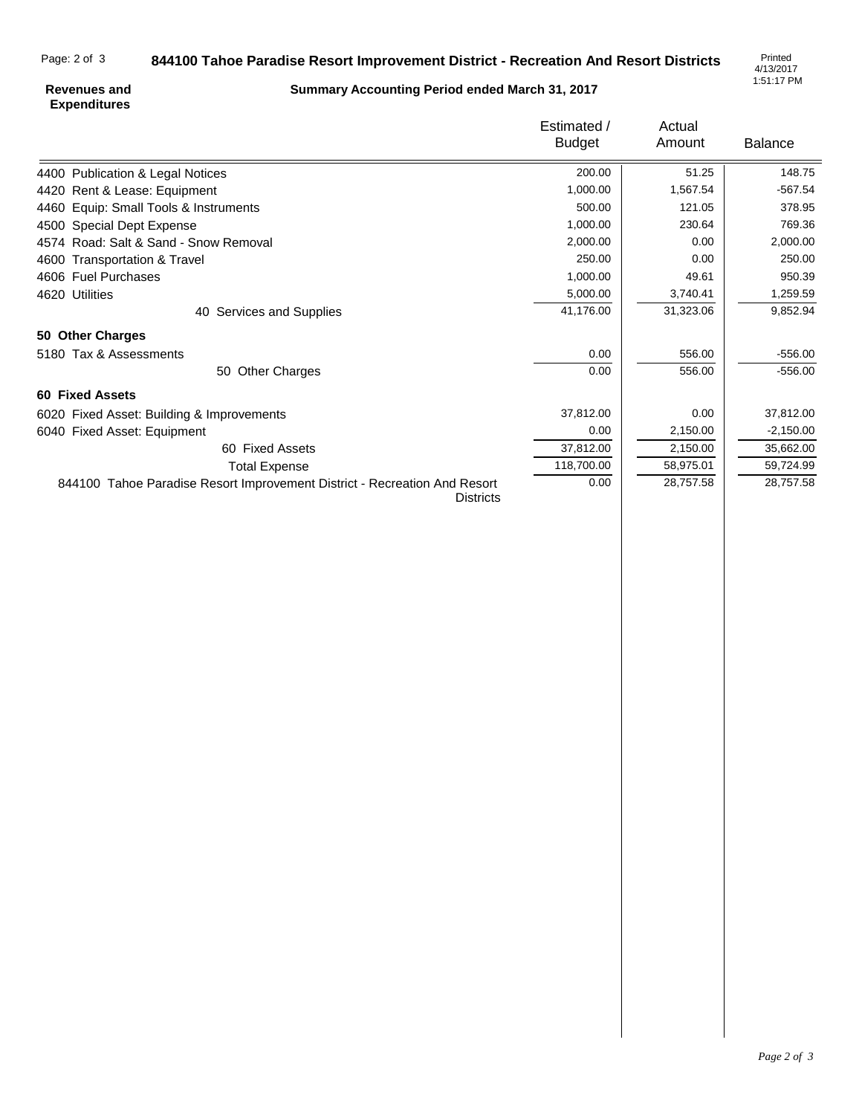## **844100 Tahoe Paradise Resort Improvement District - Recreation And Resort Districts** Page: 2 of 3

4/13/2017 1:51:17 PM

## **Revenues and Expenditures**

**Summary Accounting Period ended March 31, 2017**

|                                                                                               | Estimated /<br><b>Budget</b> | Actual    | <b>Balance</b> |
|-----------------------------------------------------------------------------------------------|------------------------------|-----------|----------------|
|                                                                                               |                              | Amount    |                |
| 4400 Publication & Legal Notices                                                              | 200.00                       | 51.25     | 148.75         |
| 4420 Rent & Lease: Equipment                                                                  | 1,000.00                     | 1,567.54  | $-567.54$      |
| 4460 Equip: Small Tools & Instruments                                                         | 500.00                       | 121.05    | 378.95         |
| 4500 Special Dept Expense                                                                     | 1,000.00                     | 230.64    | 769.36         |
| 4574 Road: Salt & Sand - Snow Removal                                                         | 2,000.00                     | 0.00      | 2,000.00       |
| 4600 Transportation & Travel                                                                  | 250.00                       | 0.00      | 250.00         |
| 4606 Fuel Purchases                                                                           | 1,000.00                     | 49.61     | 950.39         |
| 4620 Utilities                                                                                | 5,000.00                     | 3,740.41  | 1,259.59       |
| 40 Services and Supplies                                                                      | 41,176.00                    | 31,323.06 | 9,852.94       |
| 50 Other Charges                                                                              |                              |           |                |
| 5180 Tax & Assessments                                                                        | 0.00                         | 556.00    | $-556.00$      |
| 50 Other Charges                                                                              | 0.00                         | 556.00    | $-556.00$      |
| <b>60 Fixed Assets</b>                                                                        |                              |           |                |
| 6020 Fixed Asset: Building & Improvements                                                     | 37,812.00                    | 0.00      | 37,812.00      |
| 6040 Fixed Asset: Equipment                                                                   | 0.00                         | 2,150.00  | $-2,150.00$    |
| 60 Fixed Assets                                                                               | 37,812.00                    | 2,150.00  | 35,662.00      |
| <b>Total Expense</b>                                                                          | 118,700.00                   | 58,975.01 | 59,724.99      |
| 844100 Tahoe Paradise Resort Improvement District - Recreation And Resort<br><b>Districts</b> | 0.00                         | 28,757.58 | 28,757.58      |